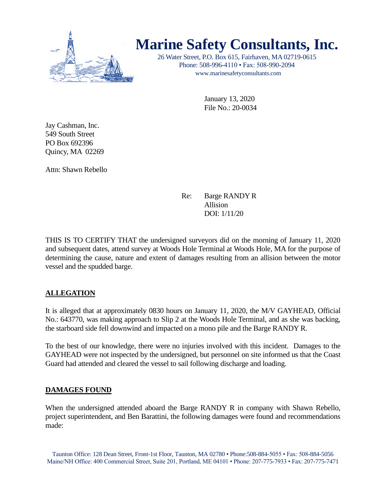

# **Marine Safety Consultants, Inc.**

26 Water Street, P.O. Box 615, Fairhaven, MA 02719-0615 Phone: 508-996-4110 • Fax: 508-990-2094 [www.marinesafetyconsultants.com](http://www.marinesafetyconsultants.com/)

> January 13, 2020 File No.: 20-0034

Jay Cashman, Inc. 549 South Street PO Box 692396 Quincy, MA 02269

Attn: Shawn Rebello

Re: Barge RANDY R Allision DOI: 1/11/20

THIS IS TO CERTIFY THAT the undersigned surveyors did on the morning of January 11, 2020 and subsequent dates, attend survey at Woods Hole Terminal at Woods Hole, MA for the purpose of determining the cause, nature and extent of damages resulting from an allision between the motor vessel and the spudded barge.

# **ALLEGATION**

It is alleged that at approximately 0830 hours on January 11, 2020, the M/V GAYHEAD, Official No.: 643770, was making approach to Slip 2 at the Woods Hole Terminal, and as she was backing, the starboard side fell downwind and impacted on a mono pile and the Barge RANDY R.

To the best of our knowledge, there were no injuries involved with this incident. Damages to the GAYHEAD were not inspected by the undersigned, but personnel on site informed us that the Coast Guard had attended and cleared the vessel to sail following discharge and loading.

# **DAMAGES FOUND**

When the undersigned attended aboard the Barge RANDY R in company with Shawn Rebello, project superintendent, and Ben Barattini, the following damages were found and recommendations made: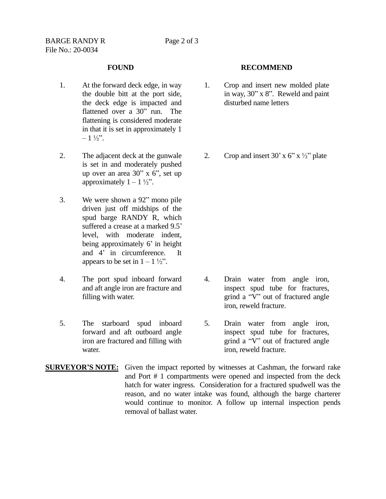- 1. At the forward deck edge, in way the double bitt at the port side, the deck edge is impacted and flattened over a 30" run. The flattening is considered moderate in that it is set in approximately 1  $-1\frac{1}{2}$ .
- 2. The adjacent deck at the gunwale is set in and moderately pushed up over an area 30" x 6", set up approximately  $1 - 1 \frac{1}{2}$ .
- 3. We were shown a 92" mono pile driven just off midships of the spud barge RANDY R, which suffered a crease at a marked 9.5' level, with moderate indent, being approximately 6' in height and 4' in circumference. It appears to be set in  $1 - 1 \frac{1}{2}$ .
- 4. The port spud inboard forward and aft angle iron are fracture and filling with water.
- 5. The starboard spud inboard forward and aft outboard angle iron are fractured and filling with water.

### **FOUND RECOMMEND**

- 1. Crop and insert new molded plate in way, 30" x 8". Reweld and paint disturbed name letters
- 2. Crop and insert 30' x 6" x  $\frac{1}{2}$ " plate

- 4. Drain water from angle iron, inspect spud tube for fractures, grind a "V" out of fractured angle iron, reweld fracture.
- 5. Drain water from angle iron, inspect spud tube for fractures, grind a "V" out of fractured angle iron, reweld fracture.
- **SURVEYOR'S NOTE:** Given the impact reported by witnesses at Cashman, the forward rake and Port # 1 compartments were opened and inspected from the deck hatch for water ingress. Consideration for a fractured spudwell was the reason, and no water intake was found, although the barge charterer would continue to monitor. A follow up internal inspection pends removal of ballast water.